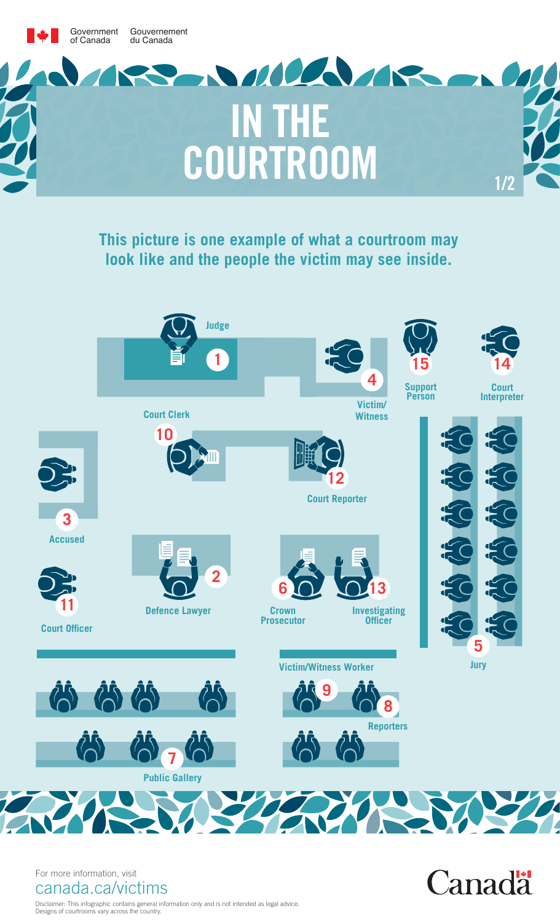

**This picture is one example of what a courtroom may look like and the people the victim may see inside.**



**Canadä** 

For more information, visit canada.ca/victims

Disclaimer: This infographic contains general information only and is not intended as legal advice. Designs of courtrooms vary across the country.